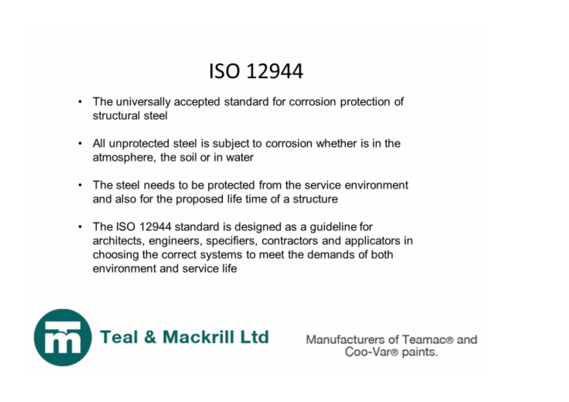## **ISO 12944**

- The universally accepted standard for corrosion protection of ۰ structural steel
- All unprotected steel is subject to corrosion whether is in the  $\bullet$ atmosphere, the soil or in water
- The steel needs to be protected from the service environment ٠ and also for the proposed life time of a structure
- The ISO 12944 standard is designed as a guideline for ٠ architects, engineers, specifiers, contractors and applicators in choosing the correct systems to meet the demands of both environment and service life



Manufacturers of Teamac® and Coo-Var<sup>®</sup> paints.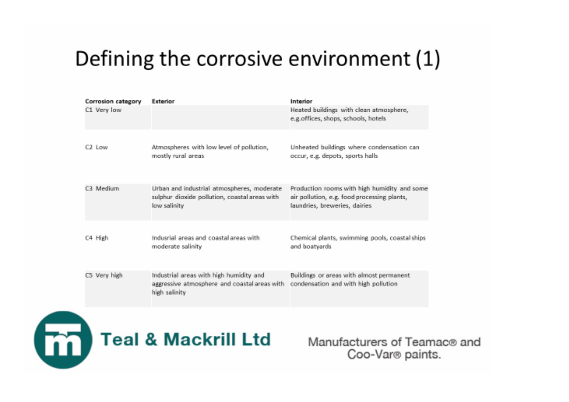## Defining the corrosive environment (1)

| Corrosion category | Exterior                                                                                                    | Interior                                                                                                                     |
|--------------------|-------------------------------------------------------------------------------------------------------------|------------------------------------------------------------------------------------------------------------------------------|
| C1 Very low        |                                                                                                             | Heated buildings with clean atmosphere,<br>e.g.offices, shops, schools, hotels                                               |
|                    |                                                                                                             |                                                                                                                              |
| $C2$ Lower         | Atmospheres with low level of pollution,<br>mostly rural areas                                              | Unheated buildings where condensation can<br>occur, e.g. depots, sports halls                                                |
|                    |                                                                                                             |                                                                                                                              |
| C3 Medium          | Urban and industrial atmospheres, moderate<br>sulphur dioxide pollution, coastal areas with<br>low salinity | Production rooms with high humidity and some<br>air pollution, e.g. food processing plants,<br>laundries, breweries, dairies |
|                    |                                                                                                             |                                                                                                                              |
| C4 High            | Industial areas and coastal areas with<br>moderate salinity                                                 | Chemical plants, swimming pools, coastal ships<br>and boatyards                                                              |
|                    |                                                                                                             |                                                                                                                              |
| C5 Very high       | Industrial areas with high humidity and<br>aggressive atmosphere and coastal areas with<br>high salinity    | Buildings or areas with almost permanent<br>condensation and with high pollution                                             |



Manufacturers of Teamac® and Coo-Var<sup>®</sup> paints.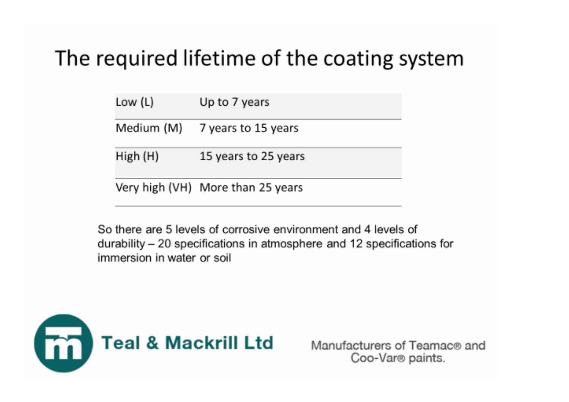## The required lifetime of the coating system

Low (L) Up to 7 years

Medium (M) 7 years to 15 years

High (H) 15 years to 25 years

Very high (VH) More than 25 years

So there are 5 levels of corrosive environment and 4 levels of durability – 20 specifications in atmosphere and 12 specifications for immersion in water or soil



Manufacturers of Teamac® and Coo-Var<sup>®</sup> paints.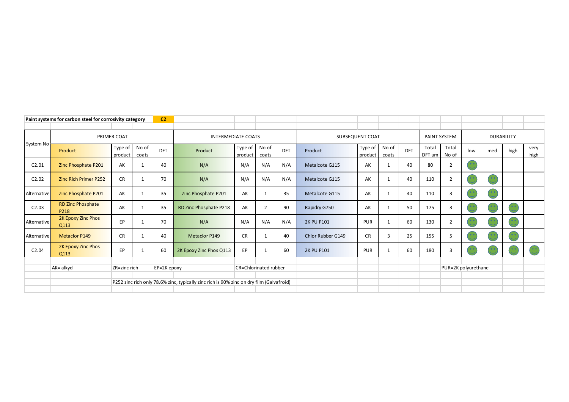|             | Paint systems for carbon steel for corrosivity category |                    |                |            |                                                                                          |                        |                |     |                   |                    |                |                   |                 |                |                     |     |                |              |
|-------------|---------------------------------------------------------|--------------------|----------------|------------|------------------------------------------------------------------------------------------|------------------------|----------------|-----|-------------------|--------------------|----------------|-------------------|-----------------|----------------|---------------------|-----|----------------|--------------|
|             |                                                         |                    |                |            |                                                                                          |                        |                |     |                   |                    |                |                   |                 |                |                     |     |                |              |
| System No   |                                                         | PRIMER COAT        |                |            | <b>INTERMEDIATE COATS</b>                                                                | SUBSEQUENT COAT        |                |     |                   |                    | PAINT SYSTEM   | <b>DURABILITY</b> |                 |                |                     |     |                |              |
|             | Product                                                 | Type of<br>product | No of<br>coats | <b>DFT</b> | Product                                                                                  | Type of $ $<br>product | No of<br>coats | DFT | Product           | Type of<br>product | No of<br>coats | DFT               | Total<br>DFT um | Total<br>No of | low                 | med | high           | very<br>high |
| C2.01       | Zinc Phosphate P201                                     | AK                 |                | 40         | N/A                                                                                      | N/A                    | N/A            | N/A | Metalcote G115    | AK                 |                | 40                | 80              | $\overline{2}$ |                     |     |                |              |
| C2.02       | <b>Zinc Rich Primer P252</b>                            | <b>CR</b>          |                | 70         | N/A                                                                                      | N/A                    | N/A            | N/A | Metalcote G115    | AK                 |                | 40                | 110             | 2              |                     |     |                |              |
| Alternative | Zinc Phosphate P201                                     | AK                 |                | 35         | Zinc Phosphate P201                                                                      | AK                     |                | 35  | Metalcote G115    | AK                 |                | 40                | 110             | 3              |                     |     |                |              |
| C2.03       | <b>RD Zinc Phosphate</b><br>P218                        | AK                 |                | 35         | RD Zinc Phosphate P218                                                                   | AK                     | $\overline{2}$ | 90  | Rapidry G750      | AK                 |                | 50                | 175             | 3              |                     |     | 0 <sub>0</sub> |              |
| Alternative | 2K Epoxy Zinc Phos<br>Q113                              | EP                 |                | 70         | N/A                                                                                      | N/A                    | N/A            | N/A | <b>2K PU P101</b> | PUR                |                | 60                | 130             | $\overline{2}$ |                     |     |                |              |
| Alternative | <b>Metaclor P149</b>                                    | <b>CR</b>          |                | 40         | <b>Metaclor P149</b>                                                                     | <b>CR</b>              |                | 40  | Chlor Rubber G149 | <b>CR</b>          | $\overline{3}$ | 25                | 155             | 5              |                     |     |                |              |
| C2.04       | 2K Epoxy Zinc Phos<br>Q113                              | <b>EP</b>          |                | 60         | 2K Epoxy Zinc Phos Q113                                                                  | EP                     | $\mathbf{1}$   | 60  | <b>2K PU P101</b> | PUR                |                | 60                | 180             | 3              |                     |     |                |              |
|             |                                                         |                    |                |            |                                                                                          |                        |                |     |                   |                    |                |                   |                 |                |                     |     |                |              |
|             | AK= alkyd                                               | ZR=zinc rich       | EP=2K epoxy    |            |                                                                                          | CR=Chlorinated rubber  |                |     |                   |                    |                |                   |                 |                | PUR=2K polyurethane |     |                |              |
|             |                                                         |                    |                |            |                                                                                          |                        |                |     |                   |                    |                |                   |                 |                |                     |     |                |              |
|             |                                                         |                    |                |            | P252 zinc rich only 78.6% zinc, typically zinc rich is 90% zinc on dry film (Galvafroid) |                        |                |     |                   |                    |                |                   |                 |                |                     |     |                |              |
|             |                                                         |                    |                |            |                                                                                          |                        |                |     |                   |                    |                |                   |                 |                |                     |     |                |              |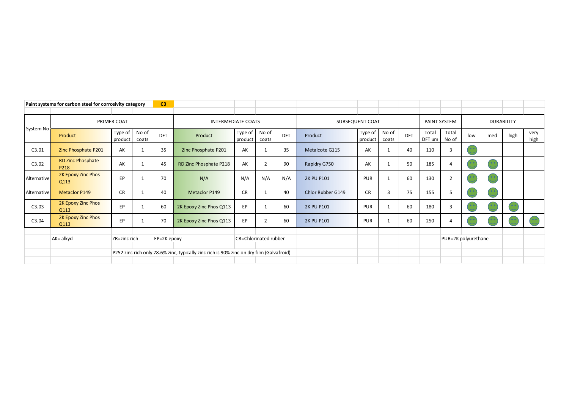|             | Paint systems for carbon steel for corrosivity category | C <sub>3</sub>     |                |             |                                                                                          |                       |                |            |                   |                    |                |                   |                 |                     |     |     |           |              |
|-------------|---------------------------------------------------------|--------------------|----------------|-------------|------------------------------------------------------------------------------------------|-----------------------|----------------|------------|-------------------|--------------------|----------------|-------------------|-----------------|---------------------|-----|-----|-----------|--------------|
|             |                                                         |                    |                |             |                                                                                          |                       |                |            |                   |                    |                |                   |                 |                     |     |     |           |              |
| System No   |                                                         | PRIMER COAT        |                |             | <b>INTERMEDIATE COATS</b>                                                                | SUBSEQUENT COAT       |                |            |                   |                    | PAINT SYSTEM   | <b>DURABILITY</b> |                 |                     |     |     |           |              |
|             | Product                                                 | Type of<br>product | No of<br>coats | <b>DFT</b>  | Product                                                                                  | Type of<br>product    | No of<br>coats | <b>DFT</b> | Product           | Type of<br>product | No of<br>coats | <b>DFT</b>        | Total<br>DFT um | Total<br>No of      | low | med | high      | very<br>high |
| C3.01       | Zinc Phosphate P201                                     | AK                 |                | 35          | Zinc Phosphate P201                                                                      | AK                    |                | 35         | Metalcote G115    | AK                 |                | 40                | 110             | 3                   |     |     |           |              |
| C3.02       | <b>RD Zinc Phosphate</b><br>P218                        | AK                 |                | 45          | RD Zinc Phosphate P218                                                                   | AK                    | $\overline{2}$ | 90         | Rapidry G750      | AK                 |                | 50                | 185             | $\overline{4}$      |     |     |           |              |
| Alternative | 2K Epoxy Zinc Phos<br>Q113                              | <b>EP</b>          |                | 70          | N/A                                                                                      | N/A                   | N/A            | N/A        | <b>2K PU P101</b> | PUR                |                | 60                | 130             | 2                   |     |     |           |              |
| Alternative | <b>Metaclor P149</b>                                    | <b>CR</b>          |                | 40          | Metaclor P149                                                                            | <b>CR</b>             |                | 40         | Chlor Rubber G149 | <b>CR</b>          | 3              | 75                | 155             | 5                   |     |     |           |              |
| C3.03       | 2K Epoxy Zinc Phos<br>Q113                              | EP                 |                | 60          | 2K Epoxy Zinc Phos Q113                                                                  | EP                    |                | 60         | <b>2K PU P101</b> | PUR                |                | 60                | 180             | 3                   |     |     | $\bullet$ |              |
| C3.04       | 2K Epoxy Zinc Phos<br>Q113                              | EP                 |                | 70          | 2K Epoxy Zinc Phos Q113                                                                  | EP                    | $\overline{2}$ | 60         | <b>2K PU P101</b> | PUR                |                | 60                | 250             | 4                   |     |     |           |              |
|             |                                                         |                    |                |             |                                                                                          |                       |                |            |                   |                    |                |                   |                 |                     |     |     |           |              |
|             | AK= alkyd                                               | ZR=zinc rich       |                | EP=2K epoxy |                                                                                          | CR=Chlorinated rubber |                |            |                   |                    |                |                   |                 | PUR=2K polyurethane |     |     |           |              |
|             |                                                         |                    |                |             |                                                                                          |                       |                |            |                   |                    |                |                   |                 |                     |     |     |           |              |
|             |                                                         |                    |                |             | P252 zinc rich only 78.6% zinc, typically zinc rich is 90% zinc on dry film (Galvafroid) |                       |                |            |                   |                    |                |                   |                 |                     |     |     |           |              |
|             |                                                         |                    |                |             |                                                                                          |                       |                |            |                   |                    |                |                   |                 |                     |     |     |           |              |